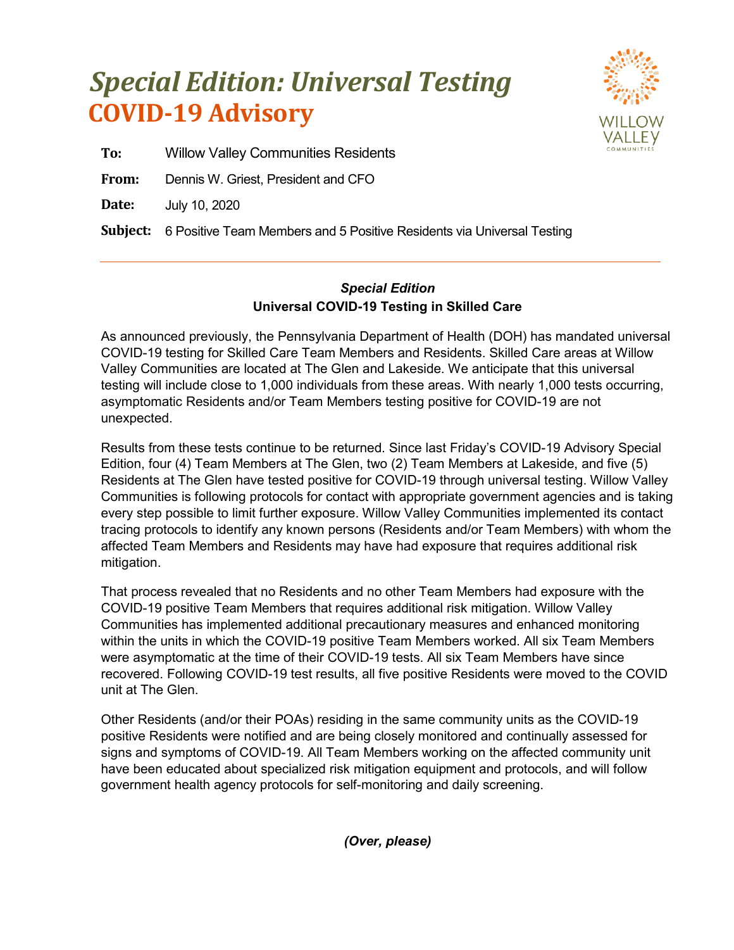## **COVID-19 Advisory** *Special Edition: Universal Testing*



**To:** Willow Valley Communities Residents

**From:** Dennis W. Griest, President and CFO

**Date:** July 10, 2020

**Subject:** 6 Positive Team Members and 5 Positive Residents via Universal Testing

## *Special Edition* **Universal COVID-19 Testing in Skilled Care**

As announced previously, the Pennsylvania Department of Health (DOH) has mandated universal COVID-19 testing for Skilled Care Team Members and Residents. Skilled Care areas at Willow Valley Communities are located at The Glen and Lakeside. We anticipate that this universal testing will include close to 1,000 individuals from these areas. With nearly 1,000 tests occurring, asymptomatic Residents and/or Team Members testing positive for COVID-19 are not unexpected.

Results from these tests continue to be returned. Since last Friday's COVID-19 Advisory Special Edition, four (4) Team Members at The Glen, two (2) Team Members at Lakeside, and five (5) Residents at The Glen have tested positive for COVID-19 through universal testing. Willow Valley Communities is following protocols for contact with appropriate government agencies and is taking every step possible to limit further exposure. Willow Valley Communities implemented its contact tracing protocols to identify any known persons (Residents and/or Team Members) with whom the affected Team Members and Residents may have had exposure that requires additional risk mitigation.

That process revealed that no Residents and no other Team Members had exposure with the COVID-19 positive Team Members that requires additional risk mitigation. Willow Valley Communities has implemented additional precautionary measures and enhanced monitoring within the units in which the COVID-19 positive Team Members worked. All six Team Members were asymptomatic at the time of their COVID-19 tests. All six Team Members have since recovered. Following COVID-19 test results, all five positive Residents were moved to the COVID unit at The Glen.

Other Residents (and/or their POAs) residing in the same community units as the COVID-19 positive Residents were notified and are being closely monitored and continually assessed for signs and symptoms of COVID-19. All Team Members working on the affected community unit have been educated about specialized risk mitigation equipment and protocols, and will follow government health agency protocols for self-monitoring and daily screening.

*(Over, please)*